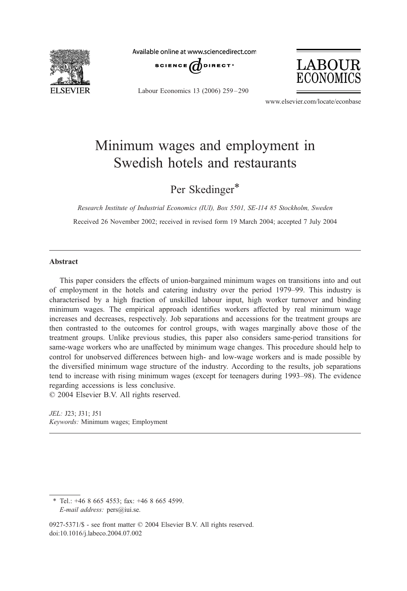

Available online at www.sciencedirect.com



Labour Economics 13 (2006) 259 – 290



www.elsevier.com/locate/econbase

## Minimum wages and employment in Swedish hotels and restaurants

Per Skedinger\*

Research Institute of Industrial Economics (IUI), Box 5501, SE-114 85 Stockholm, Sweden Received 26 November 2002; received in revised form 19 March 2004; accepted 7 July 2004

## Abstract

This paper considers the effects of union-bargained minimum wages on transitions into and out of employment in the hotels and catering industry over the period 1979–99. This industry is characterised by a high fraction of unskilled labour input, high worker turnover and binding minimum wages. The empirical approach identifies workers affected by real minimum wage increases and decreases, respectively. Job separations and accessions for the treatment groups are then contrasted to the outcomes for control groups, with wages marginally above those of the treatment groups. Unlike previous studies, this paper also considers same-period transitions for same-wage workers who are unaffected by minimum wage changes. This procedure should help to control for unobserved differences between high- and low-wage workers and is made possible by the diversified minimum wage structure of the industry. According to the results, job separations tend to increase with rising minimum wages (except for teenagers during 1993–98). The evidence regarding accessions is less conclusive.

 $© 2004 Elsevier B.V. All rights reserved.$ 

JEL: J23; J31; J51 Keywords: Minimum wages; Employment

\* Tel.: +46 8 665 4553; fax: +46 8 665 4599. E-mail address: pers@iui.se.

0927-5371/\$ - see front matter © 2004 Elsevier B.V. All rights reserved. doi:10.1016/j.labeco.2004.07.002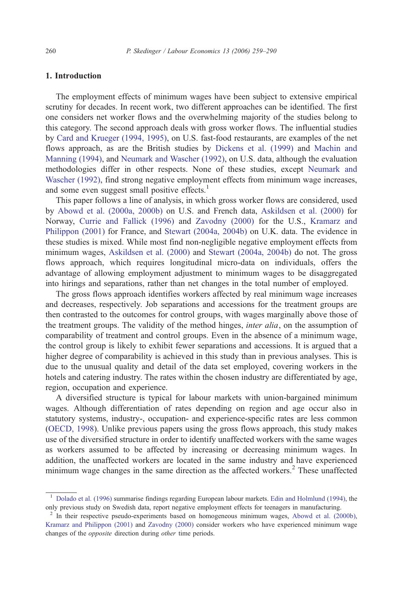## 1. Introduction

The employment effects of minimum wages have been subject to extensive empirical scrutiny for decades. In recent work, two different approaches can be identified. The first one considers net worker flows and the overwhelming majority of the studies belong to this category. The second approach deals with gross worker flows. The influential studies by [Card and Krueger \(1994, 1995\),](#page--1-0) on U.S. fast-food restaurants, are examples of the net flows approach, as are the British studies by [Dickens et al. \(1999\)](#page--1-0) and [Machin and](#page--1-0) Manning (1994), and [Neumark and Wascher \(1992\),](#page--1-0) on U.S. data, although the evaluation methodologies differ in other respects. None of these studies, except [Neumark and](#page--1-0) Wascher (1992), find strong negative employment effects from minimum wage increases, and some even suggest small positive effects.<sup>1</sup>

This paper follows a line of analysis, in which gross worker flows are considered, used by [Abowd et al. \(2000a, 2000b\)](#page--1-0) on U.S. and French data, [Askildsen et al. \(2000\)](#page--1-0) for Norway, [Currie and Fallick \(1996\)](#page--1-0) and [Zavodny \(2000\)](#page--1-0) for the U.S., [Kramarz and](#page--1-0) Philippon (2001) for France, and [Stewart \(2004a, 2004b\)](#page--1-0) on U.K. data. The evidence in these studies is mixed. While most find non-negligible negative employment effects from minimum wages, [Askildsen et al. \(2000\)](#page--1-0) and [Stewart \(2004a, 2004b\)](#page--1-0) do not. The gross flows approach, which requires longitudinal micro-data on individuals, offers the advantage of allowing employment adjustment to minimum wages to be disaggregated into hirings and separations, rather than net changes in the total number of employed.

The gross flows approach identifies workers affected by real minimum wage increases and decreases, respectively. Job separations and accessions for the treatment groups are then contrasted to the outcomes for control groups, with wages marginally above those of the treatment groups. The validity of the method hinges, *inter alia*, on the assumption of comparability of treatment and control groups. Even in the absence of a minimum wage, the control group is likely to exhibit fewer separations and accessions. It is argued that a higher degree of comparability is achieved in this study than in previous analyses. This is due to the unusual quality and detail of the data set employed, covering workers in the hotels and catering industry. The rates within the chosen industry are differentiated by age, region, occupation and experience.

A diversified structure is typical for labour markets with union-bargained minimum wages. Although differentiation of rates depending on region and age occur also in statutory systems, industry-, occupation- and experience-specific rates are less common ([OECD, 1998\)](#page--1-0). Unlike previous papers using the gross flows approach, this study makes use of the diversified structure in order to identify unaffected workers with the same wages as workers assumed to be affected by increasing or decreasing minimum wages. In addition, the unaffected workers are located in the same industry and have experienced minimum wage changes in the same direction as the affected workers.<sup>2</sup> These unaffected

<sup>&</sup>lt;sup>1</sup> [Dolado et al. \(1996\)](#page--1-0) summarise findings regarding European labour markets. [Edin and Holmlund \(1994\),](#page--1-0) the only previous study on Swedish data, report negative employment effects for teenagers in manufacturing.

<sup>&</sup>lt;sup>2</sup> In their respective pseudo-experiments based on homogeneous minimum wages, [Abowd et al. \(2000b\),](#page--1-0) [Kramarz and Philippon \(2001\)](#page--1-0) and [Zavodny \(2000\)](#page--1-0) consider workers who have experienced minimum wage changes of the opposite direction during other time periods.